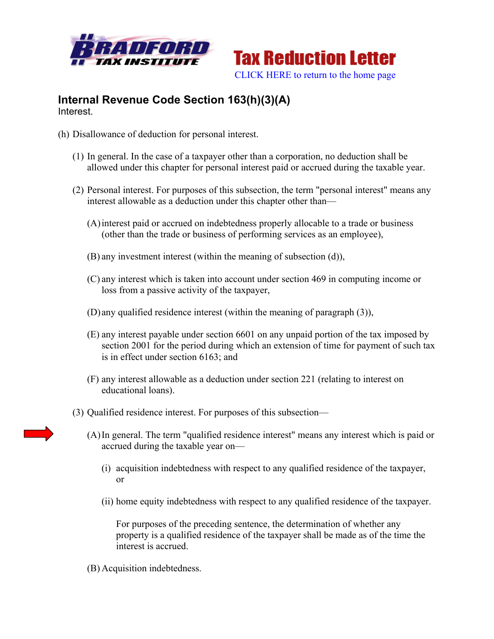



## **Internal Revenue Code Section 163(h)(3)(A)** Interest.

- (h) Disallowance of deduction for personal interest.
	- (1) In general. In the case of a taxpayer other than a corporation, no deduction shall be allowed under this chapter for personal interest paid or accrued during the taxable year.
	- (2) Personal interest. For purposes of this subsection, the term "personal interest" means any interest allowable as a deduction under this chapter other than—
		- (A)interest paid or accrued on indebtedness properly allocable to a trade or business (other than the trade or business of performing services as an employee),
		- (B) any investment interest (within the meaning of subsection (d)),
		- (C) any interest which is taken into account under section 469 in computing income or loss from a passive activity of the taxpayer,
		- (D) any qualified residence interest (within the meaning of paragraph (3)),
		- (E) any interest payable under section 6601 on any unpaid portion of the tax imposed by section 2001 for the period during which an extension of time for payment of such tax is in effect under section 6163; and
		- (F) any interest allowable as a deduction under section 221 (relating to interest on educational loans).
	- (3) Qualified residence interest. For purposes of this subsection—
		- (A)In general. The term "qualified residence interest" means any interest which is paid or accrued during the taxable year on—
			- (i) acquisition indebtedness with respect to any qualified residence of the taxpayer, or
			- (ii) home equity indebtedness with respect to any qualified residence of the taxpayer.

For purposes of the preceding sentence, the determination of whether any property is a qualified residence of the taxpayer shall be made as of the time the interest is accrued.

(B) Acquisition indebtedness.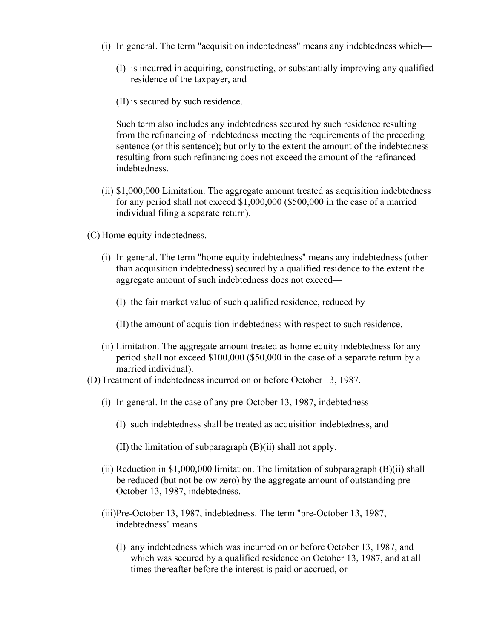- (i) In general. The term "acquisition indebtedness" means any indebtedness which—
	- (I) is incurred in acquiring, constructing, or substantially improving any qualified residence of the taxpayer, and
	- (II) is secured by such residence.

Such term also includes any indebtedness secured by such residence resulting from the refinancing of indebtedness meeting the requirements of the preceding sentence (or this sentence); but only to the extent the amount of the indebtedness resulting from such refinancing does not exceed the amount of the refinanced indebtedness.

- (ii) \$1,000,000 Limitation. The aggregate amount treated as acquisition indebtedness for any period shall not exceed \$1,000,000 (\$500,000 in the case of a married individual filing a separate return).
- (C) Home equity indebtedness.
	- (i) In general. The term "home equity indebtedness" means any indebtedness (other than acquisition indebtedness) secured by a qualified residence to the extent the aggregate amount of such indebtedness does not exceed—
		- (I) the fair market value of such qualified residence, reduced by
		- (II) the amount of acquisition indebtedness with respect to such residence.
	- (ii) Limitation. The aggregate amount treated as home equity indebtedness for any period shall not exceed \$100,000 (\$50,000 in the case of a separate return by a married individual).
- (D)Treatment of indebtedness incurred on or before October 13, 1987.
	- (i) In general. In the case of any pre-October 13, 1987, indebtedness—
		- (I) such indebtedness shall be treated as acquisition indebtedness, and
		- (II) the limitation of subparagraph (B)(ii) shall not apply.
	- (ii) Reduction in \$1,000,000 limitation. The limitation of subparagraph  $(B)(ii)$  shall be reduced (but not below zero) by the aggregate amount of outstanding pre-October 13, 1987, indebtedness.
	- (iii)Pre-October 13, 1987, indebtedness. The term "pre-October 13, 1987, indebtedness" means—
		- (I) any indebtedness which was incurred on or before October 13, 1987, and which was secured by a qualified residence on October 13, 1987, and at all times thereafter before the interest is paid or accrued, or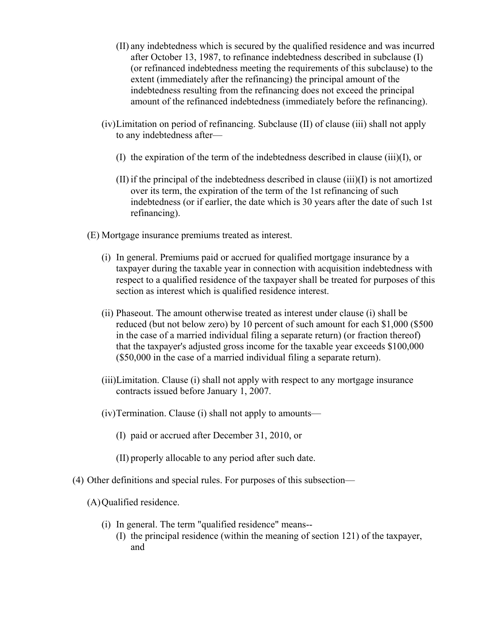- (II) any indebtedness which is secured by the qualified residence and was incurred after October 13, 1987, to refinance indebtedness described in subclause (I) (or refinanced indebtedness meeting the requirements of this subclause) to the extent (immediately after the refinancing) the principal amount of the indebtedness resulting from the refinancing does not exceed the principal amount of the refinanced indebtedness (immediately before the refinancing).
- (iv)Limitation on period of refinancing. Subclause (II) of clause (iii) shall not apply to any indebtedness after—
	- (I) the expiration of the term of the indebtedness described in clause (iii)(I), or
	- $(II)$  if the principal of the indebtedness described in clause  $(iii)(I)$  is not amortized over its term, the expiration of the term of the 1st refinancing of such indebtedness (or if earlier, the date which is 30 years after the date of such 1st refinancing).
- (E) Mortgage insurance premiums treated as interest.
	- (i) In general. Premiums paid or accrued for qualified mortgage insurance by a taxpayer during the taxable year in connection with acquisition indebtedness with respect to a qualified residence of the taxpayer shall be treated for purposes of this section as interest which is qualified residence interest.
	- (ii) Phaseout. The amount otherwise treated as interest under clause (i) shall be reduced (but not below zero) by 10 percent of such amount for each \$1,000 (\$500 in the case of a married individual filing a separate return) (or fraction thereof) that the taxpayer's adjusted gross income for the taxable year exceeds \$100,000 (\$50,000 in the case of a married individual filing a separate return).
	- (iii)Limitation. Clause (i) shall not apply with respect to any mortgage insurance contracts issued before January 1, 2007.
	- (iv)Termination. Clause (i) shall not apply to amounts—
		- (I) paid or accrued after December 31, 2010, or
		- (II) properly allocable to any period after such date.
- (4) Other definitions and special rules. For purposes of this subsection—

(A)Qualified residence.

- (i) In general. The term "qualified residence" means--
	- (I) the principal residence (within the meaning of section 121) of the taxpayer, and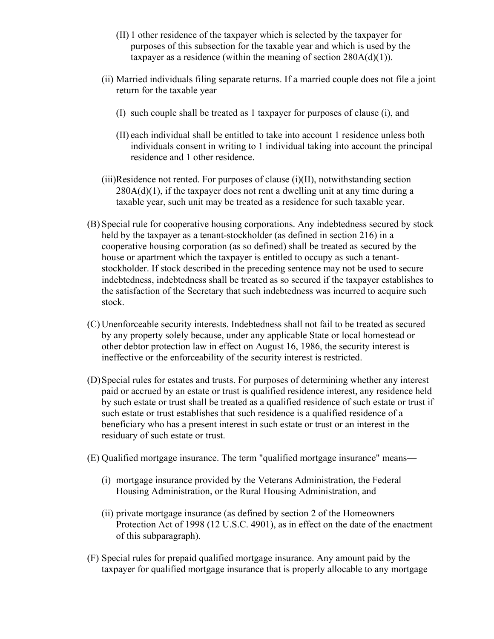- (II) 1 other residence of the taxpayer which is selected by the taxpayer for purposes of this subsection for the taxable year and which is used by the taxpayer as a residence (within the meaning of section  $280A(d)(1)$ ).
- (ii) Married individuals filing separate returns. If a married couple does not file a joint return for the taxable year—
	- (I) such couple shall be treated as 1 taxpayer for purposes of clause (i), and
	- (II) each individual shall be entitled to take into account 1 residence unless both individuals consent in writing to 1 individual taking into account the principal residence and 1 other residence.
- $(iii)$ Residence not rented. For purposes of clause  $(i)(II)$ , notwithstanding section  $280A(d)(1)$ , if the taxpayer does not rent a dwelling unit at any time during a taxable year, such unit may be treated as a residence for such taxable year.
- (B) Special rule for cooperative housing corporations. Any indebtedness secured by stock held by the taxpayer as a tenant-stockholder (as defined in section 216) in a cooperative housing corporation (as so defined) shall be treated as secured by the house or apartment which the taxpayer is entitled to occupy as such a tenantstockholder. If stock described in the preceding sentence may not be used to secure indebtedness, indebtedness shall be treated as so secured if the taxpayer establishes to the satisfaction of the Secretary that such indebtedness was incurred to acquire such stock.
- (C) Unenforceable security interests. Indebtedness shall not fail to be treated as secured by any property solely because, under any applicable State or local homestead or other debtor protection law in effect on August 16, 1986, the security interest is ineffective or the enforceability of the security interest is restricted.
- (D)Special rules for estates and trusts. For purposes of determining whether any interest paid or accrued by an estate or trust is qualified residence interest, any residence held by such estate or trust shall be treated as a qualified residence of such estate or trust if such estate or trust establishes that such residence is a qualified residence of a beneficiary who has a present interest in such estate or trust or an interest in the residuary of such estate or trust.
- (E) Qualified mortgage insurance. The term "qualified mortgage insurance" means—
	- (i) mortgage insurance provided by the Veterans Administration, the Federal Housing Administration, or the Rural Housing Administration, and
	- (ii) private mortgage insurance (as defined by section 2 of the Homeowners Protection Act of 1998 (12 U.S.C. 4901), as in effect on the date of the enactment of this subparagraph).
- (F) Special rules for prepaid qualified mortgage insurance. Any amount paid by the taxpayer for qualified mortgage insurance that is properly allocable to any mortgage